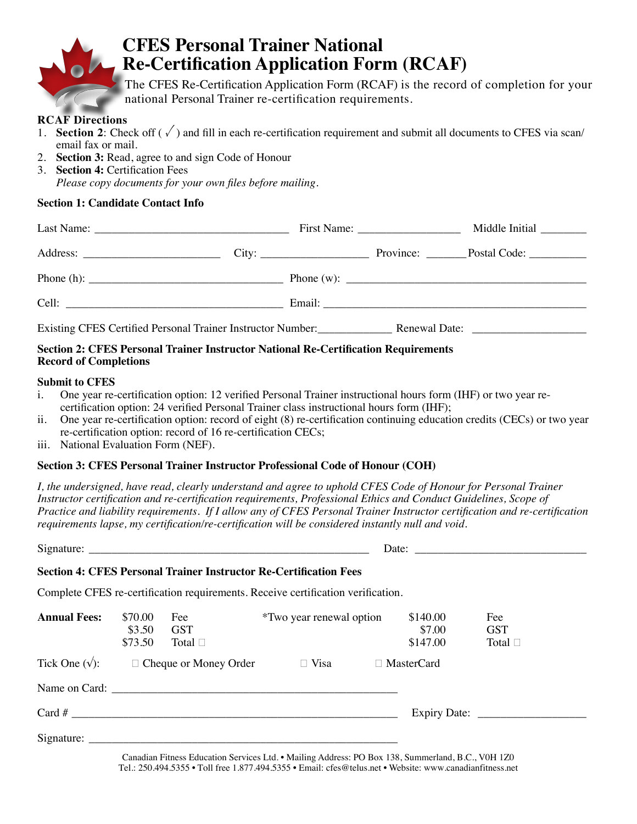

# **CFES Personal Trainer National Re-Certification Application Form (RCAF)**

The CFES Re-Certification Application Form (RCAF) is the record of completion for your national Personal Trainer re-certification requirements.

#### **RCAF Directions**

- 1. **Section 2**: Check off  $(\sqrt{\ } )$  and fill in each re-certification requirement and submit all documents to CFES via scan/ email fax or mail.
- 2. **Section 3:** Read, agree to and sign Code of Honour
- 3. **Section 4:** Certification Fees *Please copy documents for your own files before mailing.*

#### **Section 1: Candidate Contact Info**

|                                                                                                      | First Name: $\frac{1}{\sqrt{1-\frac{1}{2}}}\frac{1}{\sqrt{1-\frac{1}{2}}}\frac{1}{\sqrt{1-\frac{1}{2}}}\frac{1}{\sqrt{1-\frac{1}{2}}}\frac{1}{\sqrt{1-\frac{1}{2}}}\frac{1}{\sqrt{1-\frac{1}{2}}}\frac{1}{\sqrt{1-\frac{1}{2}}}\frac{1}{\sqrt{1-\frac{1}{2}}}\frac{1}{\sqrt{1-\frac{1}{2}}}\frac{1}{\sqrt{1-\frac{1}{2}}}\frac{1}{\sqrt{1-\frac{1}{2}}}\frac{1}{\sqrt{1-\frac{1}{2}}}\frac{1}{\sqrt{1-\frac{1}{2}}$ | Middle Initial                                                                                                                                                                                                                                                                                         |
|------------------------------------------------------------------------------------------------------|---------------------------------------------------------------------------------------------------------------------------------------------------------------------------------------------------------------------------------------------------------------------------------------------------------------------------------------------------------------------------------------------------------------------|--------------------------------------------------------------------------------------------------------------------------------------------------------------------------------------------------------------------------------------------------------------------------------------------------------|
|                                                                                                      |                                                                                                                                                                                                                                                                                                                                                                                                                     |                                                                                                                                                                                                                                                                                                        |
|                                                                                                      |                                                                                                                                                                                                                                                                                                                                                                                                                     | Phone (w): $\frac{1}{2}$ = $\frac{1}{2}$ = $\frac{1}{2}$ = $\frac{1}{2}$ = $\frac{1}{2}$ = $\frac{1}{2}$ = $\frac{1}{2}$ = $\frac{1}{2}$ = $\frac{1}{2}$ = $\frac{1}{2}$ = $\frac{1}{2}$ = $\frac{1}{2}$ = $\frac{1}{2}$ = $\frac{1}{2}$ = $\frac{1}{2}$ = $\frac{1}{2}$ = $\frac{1}{2}$ = $\frac{1}{$ |
|                                                                                                      |                                                                                                                                                                                                                                                                                                                                                                                                                     |                                                                                                                                                                                                                                                                                                        |
| Existing CFES Certified Personal Trainer Instructor Number: Renewal Date: 2008. [2016] Renewal Date: |                                                                                                                                                                                                                                                                                                                                                                                                                     |                                                                                                                                                                                                                                                                                                        |

#### **Section 2: CFES Personal Trainer Instructor National Re-Certification Requirements Record of Completions**

#### **Submit to CFES**

- i. One year re-certification option: 12 verified Personal Trainer instructional hours form (IHF) or two year recertification option: 24 verified Personal Trainer class instructional hours form (IHF);
- ii. One year re-certification option: record of eight (8) re-certification continuing education credits (CECs) or two year re-certification option: record of 16 re-certification CECs;
- iii. National Evaluation Form (NEF).

#### **Section 3: CFES Personal Trainer Instructor Professional Code of Honour (COH)**

*I, the undersigned, have read, clearly understand and agree to uphold CFES Code of Honour for Personal Trainer Instructor certification and re-certification requirements, Professional Ethics and Conduct Guidelines, Scope of Practice and liability requirements. If I allow any of CFES Personal Trainer Instructor certification and re-certification requirements lapse, my certification/re-certification will be considered instantly null and void.* 

Signature: \_\_\_\_\_\_\_\_\_\_\_\_\_\_\_\_\_\_\_\_\_\_\_\_\_\_\_\_\_\_\_\_\_\_\_\_\_\_\_\_\_\_\_\_\_\_\_\_\_ Date: \_\_\_\_\_\_\_\_\_\_\_\_\_\_\_\_\_\_\_\_\_\_\_\_\_\_\_\_\_\_

#### **Section 4: CFES Personal Trainer Instructor Re-Certification Fees**

Complete CFES re-certification requirements. Receive certification verification.

| <b>Annual Fees:</b>     | \$70.00<br>\$3.50<br>\$73.50 | Fee<br><b>GST</b><br>Total $\square$                          | <i>*Two year renewal option</i> | \$140.00<br>\$7.00<br>\$147.00 | Fee<br><b>GST</b><br>Total $\square$ |
|-------------------------|------------------------------|---------------------------------------------------------------|---------------------------------|--------------------------------|--------------------------------------|
| Tick One $(\sqrt{\ }$ : |                              | $\Box$ Cheque or Money Order                                  | $\Box$ Visa                     | □ MasterCard                   |                                      |
|                         |                              |                                                               |                                 |                                |                                      |
|                         |                              |                                                               |                                 |                                |                                      |
|                         |                              | Signature: $\frac{1}{\sqrt{1-\frac{1}{2}} \cdot \frac{1}{2}}$ |                                 |                                |                                      |

Canadian Fitness Education Services Ltd. • Mailing Address: PO Box 138, Summerland, B.C., V0H 1Z0 Tel.: 250.494.5355 • Toll free 1.877.494.5355 • Email: cfes@telus.net • Website: www.canadianfitness.net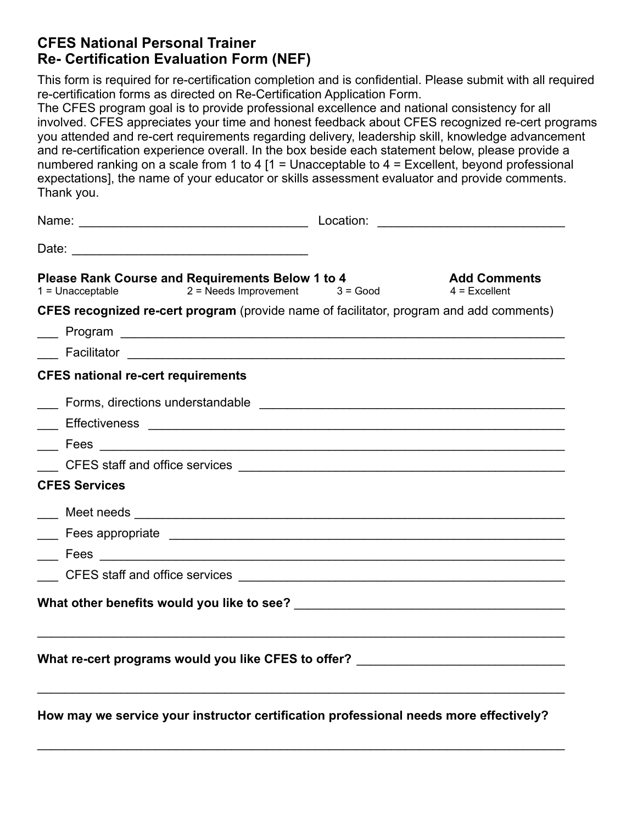### **CFES National Personal Trainer Re- Certification Evaluation Form (NEF)**

This form is required for re-certification completion and is confidential. Please submit with all required re-certification forms as directed on Re-Certification Application Form.

The CFES program goal is to provide professional excellence and national consistency for all involved. CFES appreciates your time and honest feedback about CFES recognized re-cert programs you attended and re-cert requirements regarding delivery, leadership skill, knowledge advancement and re-certification experience overall. In the box beside each statement below, please provide a numbered ranking on a scale from 1 to 4  $[1 =$  Unacceptable to 4 = Excellent, beyond professional expectations], the name of your educator or skills assessment evaluator and provide comments. Thank you.

| Name: Name: Name: Name: Name: Name: Name: Name: Name: Name: Name: Name: Name: Name: Name: Name: Name: Name: Name: Name: Name: Name: Name: Name: Name: Name: Name: Name: Name: Name: Name: Name: Name: Name: Name: Name: Name: |                                        |
|-------------------------------------------------------------------------------------------------------------------------------------------------------------------------------------------------------------------------------|----------------------------------------|
|                                                                                                                                                                                                                               |                                        |
| <b>Please Rank Course and Requirements Below 1 to 4</b><br>$1 =$ Unacceptable 2 = Needs Improvement 3 = Good                                                                                                                  | <b>Add Comments</b><br>$4$ = Excellent |
| <b>CFES recognized re-cert program</b> (provide name of facilitator, program and add comments)                                                                                                                                |                                        |
|                                                                                                                                                                                                                               |                                        |
|                                                                                                                                                                                                                               |                                        |
| <b>CFES national re-cert requirements</b>                                                                                                                                                                                     |                                        |
| Example 2011 Forms, directions understandable                                                                                                                                                                                 |                                        |
|                                                                                                                                                                                                                               |                                        |
|                                                                                                                                                                                                                               |                                        |
|                                                                                                                                                                                                                               |                                        |
| <b>CFES Services</b>                                                                                                                                                                                                          |                                        |
|                                                                                                                                                                                                                               |                                        |
|                                                                                                                                                                                                                               |                                        |
|                                                                                                                                                                                                                               |                                        |
|                                                                                                                                                                                                                               |                                        |
|                                                                                                                                                                                                                               |                                        |
| ,我们也不能在这里的时候,我们也不能在这里的时候,我们也不能会不能会不能会不能会不能会不能会不能会不能会不能会不能会。""我们的是,我们也不能会不能会不能会不能<br>What re-cert programs would you like CFES to offer? ____________________________                                                          |                                        |
| How may we service your instructor certification professional needs more effectively?                                                                                                                                         |                                        |

 $\mathcal{L}_\text{max}$  , and the contribution of the contribution of the contribution of the contribution of the contribution of the contribution of the contribution of the contribution of the contribution of the contribution of t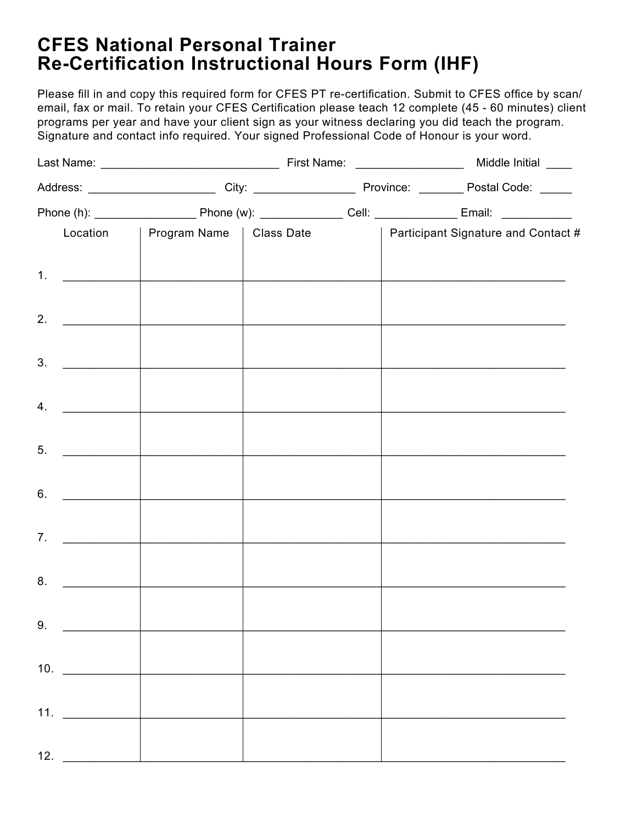# **CFES National Personal Trainer Re-Certification Instructional Hours Form (IHF)**

Please fill in and copy this required form for CFES PT re-certification. Submit to CFES office by scan/ email, fax or mail. To retain your CFES Certification please teach 12 complete (45 - 60 minutes) client programs per year and have your client sign as your witness declaring you did teach the program. Signature and contact info required. Your signed Professional Code of Honour is your word.

|                                                                                                                                                                                                                                            |                                                                                                                        |  |  | Location   Program Name   Class Date   Participant Signature and Contact # |
|--------------------------------------------------------------------------------------------------------------------------------------------------------------------------------------------------------------------------------------------|------------------------------------------------------------------------------------------------------------------------|--|--|----------------------------------------------------------------------------|
| 1. $\qquad$                                                                                                                                                                                                                                | <u> 1989 - Johann John Stein, fransk politik (d. 1989)</u>                                                             |  |  |                                                                            |
|                                                                                                                                                                                                                                            |                                                                                                                        |  |  |                                                                            |
| 2.<br><u> 1990 - Johann Barnett, fransk konge</u>                                                                                                                                                                                          |                                                                                                                        |  |  |                                                                            |
| 3.                                                                                                                                                                                                                                         | <u> 1990 - Johann John Stein, mars an deutscher Stein und der Stein und der Stein und der Stein und der Stein und</u>  |  |  |                                                                            |
|                                                                                                                                                                                                                                            |                                                                                                                        |  |  |                                                                            |
| 4.<br><u>and the community of the community of the community of the community of the community of the community of the community of the community of the community of the community of the community of the community of the community</u> |                                                                                                                        |  |  |                                                                            |
| 5.                                                                                                                                                                                                                                         | <u> 1989 - Johann John Harry Harry Harry Harry Harry Harry Harry Harry Harry Harry Harry Harry Harry Harry Harry H</u> |  |  |                                                                            |
|                                                                                                                                                                                                                                            |                                                                                                                        |  |  |                                                                            |
| 6.                                                                                                                                                                                                                                         |                                                                                                                        |  |  |                                                                            |
| 7.                                                                                                                                                                                                                                         | <u> 1989 - Johann John Harry Harry Harry Harry Harry Harry Harry Harry Harry Harry Harry Harry Harry Harry Harry H</u> |  |  |                                                                            |
|                                                                                                                                                                                                                                            |                                                                                                                        |  |  |                                                                            |
|                                                                                                                                                                                                                                            |                                                                                                                        |  |  |                                                                            |
| 9.                                                                                                                                                                                                                                         |                                                                                                                        |  |  |                                                                            |
|                                                                                                                                                                                                                                            |                                                                                                                        |  |  |                                                                            |
| 10. $\qquad$                                                                                                                                                                                                                               |                                                                                                                        |  |  |                                                                            |
| 11. $\qquad$                                                                                                                                                                                                                               | <u> 1960 - Johann Barbara, martin d</u>                                                                                |  |  |                                                                            |
|                                                                                                                                                                                                                                            |                                                                                                                        |  |  |                                                                            |
|                                                                                                                                                                                                                                            |                                                                                                                        |  |  |                                                                            |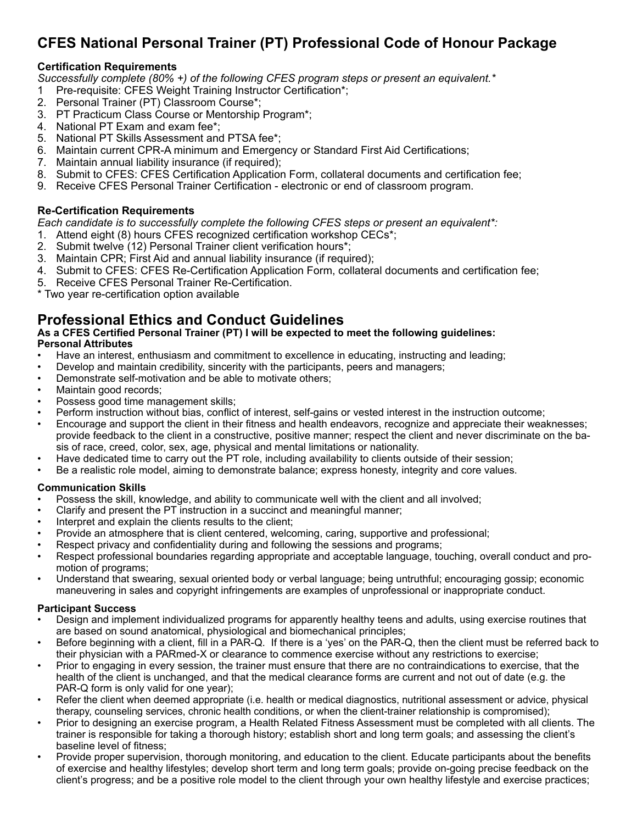## **CFES National Personal Trainer (PT) Professional Code of Honour Package**

#### **Certification Requirements**

*Successfully complete (80% +) of the following CFES program steps or present an equivalent.\**

- Pre-requisite: CFES Weight Training Instructor Certification\*;
- 2. Personal Trainer (PT) Classroom Course\*;
- 3. PT Practicum Class Course or Mentorship Program\*;
- 4. National PT Exam and exam fee\*;
- 5. National PT Skills Assessment and PTSA fee\*;
- 6. Maintain current CPR-A minimum and Emergency or Standard First Aid Certifications;
- 7. Maintain annual liability insurance (if required);
- 8. Submit to CFES: CFES Certification Application Form, collateral documents and certification fee;
- 9. Receive CFES Personal Trainer Certification electronic or end of classroom program.

#### **Re-Certification Requirements**

*Each candidate is to successfully complete the following CFES steps or present an equivalent\*:*

- 1. Attend eight (8) hours CFES recognized certification workshop CECs\*;
- 2. Submit twelve (12) Personal Trainer client verification hours\*;
- 3. Maintain CPR; First Aid and annual liability insurance (if required);
- 4. Submit to CFES: CFES Re-Certification Application Form, collateral documents and certification fee;
- 5. Receive CFES Personal Trainer Re-Certification.

\* Two year re-certification option available

### **Professional Ethics and Conduct Guidelines**

**As a CFES Certified Personal Trainer (PT) I will be expected to meet the following guidelines: Personal Attributes**

- Have an interest, enthusiasm and commitment to excellence in educating, instructing and leading;
- Develop and maintain credibility, sincerity with the participants, peers and managers;
- Demonstrate self-motivation and be able to motivate others;
- Maintain good records;
- Possess good time management skills;
- Perform instruction without bias, conflict of interest, self-gains or vested interest in the instruction outcome;
- Encourage and support the client in their fitness and health endeavors, recognize and appreciate their weaknesses; provide feedback to the client in a constructive, positive manner; respect the client and never discriminate on the basis of race, creed, color, sex, age, physical and mental limitations or nationality.
- Have dedicated time to carry out the PT role, including availability to clients outside of their session;
- Be a realistic role model, aiming to demonstrate balance; express honesty, integrity and core values.

#### **Communication Skills**

- Possess the skill, knowledge, and ability to communicate well with the client and all involved;
- Clarify and present the PT instruction in a succinct and meaningful manner;
- Interpret and explain the clients results to the client;
- Provide an atmosphere that is client centered, welcoming, caring, supportive and professional;
- Respect privacy and confidentiality during and following the sessions and programs;
- Respect professional boundaries regarding appropriate and acceptable language, touching, overall conduct and promotion of programs;
- Understand that swearing, sexual oriented body or verbal language; being untruthful; encouraging gossip; economic maneuvering in sales and copyright infringements are examples of unprofessional or inappropriate conduct.

#### **Participant Success**

- Design and implement individualized programs for apparently healthy teens and adults, using exercise routines that are based on sound anatomical, physiological and biomechanical principles;
- Before beginning with a client, fill in a PAR-Q. If there is a 'yes' on the PAR-Q, then the client must be referred back to their physician with a PARmed-X or clearance to commence exercise without any restrictions to exercise;
- Prior to engaging in every session, the trainer must ensure that there are no contraindications to exercise, that the health of the client is unchanged, and that the medical clearance forms are current and not out of date (e.g. the PAR-Q form is only valid for one year);
- Refer the client when deemed appropriate (i.e. health or medical diagnostics, nutritional assessment or advice, physical therapy, counseling services, chronic health conditions, or when the client-trainer relationship is compromised);
- Prior to designing an exercise program, a Health Related Fitness Assessment must be completed with all clients. The trainer is responsible for taking a thorough history; establish short and long term goals; and assessing the client's baseline level of fitness;
- Provide proper supervision, thorough monitoring, and education to the client. Educate participants about the benefits of exercise and healthy lifestyles; develop short term and long term goals; provide on-going precise feedback on the client's progress; and be a positive role model to the client through your own healthy lifestyle and exercise practices;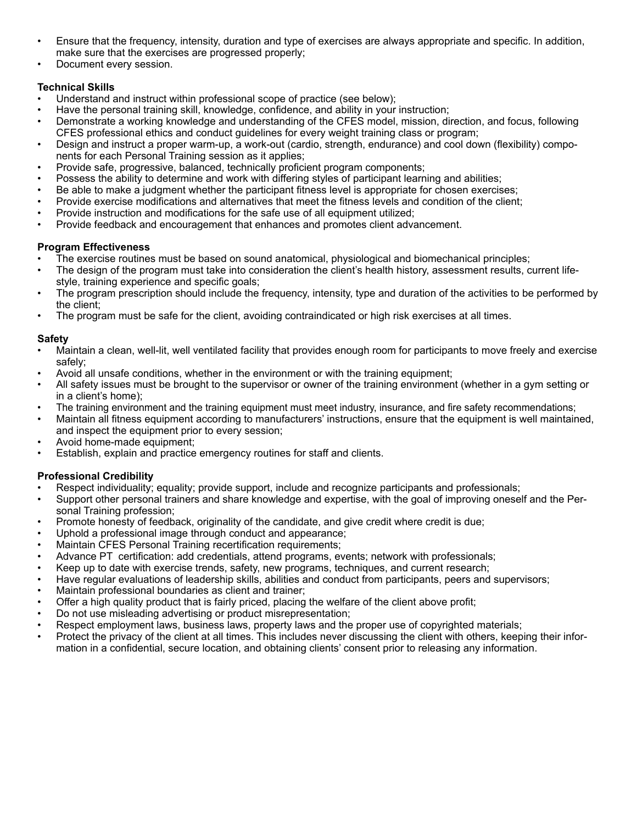- Ensure that the frequency, intensity, duration and type of exercises are always appropriate and specific. In addition, make sure that the exercises are progressed properly;
- Document every session.

#### **Technical Skills**

- Understand and instruct within professional scope of practice (see below);
- Have the personal training skill, knowledge, confidence, and ability in your instruction;
- Demonstrate a working knowledge and understanding of the CFES model, mission, direction, and focus, following CFES professional ethics and conduct guidelines for every weight training class or program;
- Design and instruct a proper warm-up, a work-out (cardio, strength, endurance) and cool down (flexibility) components for each Personal Training session as it applies;
- Provide safe, progressive, balanced, technically proficient program components;
- Possess the ability to determine and work with differing styles of participant learning and abilities;
- Be able to make a judgment whether the participant fitness level is appropriate for chosen exercises;
- Provide exercise modifications and alternatives that meet the fitness levels and condition of the client;
- Provide instruction and modifications for the safe use of all equipment utilized;
- Provide feedback and encouragement that enhances and promotes client advancement.

#### **Program Effectiveness**

- The exercise routines must be based on sound anatomical, physiological and biomechanical principles;
- The design of the program must take into consideration the client's health history, assessment results, current lifestyle, training experience and specific goals;
- The program prescription should include the frequency, intensity, type and duration of the activities to be performed by the client;
- The program must be safe for the client, avoiding contraindicated or high risk exercises at all times.

#### **Safety**

- Maintain a clean, well-lit, well ventilated facility that provides enough room for participants to move freely and exercise safely;
- Avoid all unsafe conditions, whether in the environment or with the training equipment;
- All safety issues must be brought to the supervisor or owner of the training environment (whether in a gym setting or in a client's home);
- The training environment and the training equipment must meet industry, insurance, and fire safety recommendations;
- Maintain all fitness equipment according to manufacturers' instructions, ensure that the equipment is well maintained, and inspect the equipment prior to every session;
- Avoid home-made equipment:
- Establish, explain and practice emergency routines for staff and clients.

#### **Professional Credibility**

- Respect individuality; equality; provide support, include and recognize participants and professionals;
- Support other personal trainers and share knowledge and expertise, with the goal of improving oneself and the Personal Training profession;
- Promote honesty of feedback, originality of the candidate, and give credit where credit is due;
- Uphold a professional image through conduct and appearance;
- Maintain CFES Personal Training recertification requirements;
- Advance PT certification: add credentials, attend programs, events; network with professionals;
- Keep up to date with exercise trends, safety, new programs, techniques, and current research;
- Have regular evaluations of leadership skills, abilities and conduct from participants, peers and supervisors;
- Maintain professional boundaries as client and trainer;
- Offer a high quality product that is fairly priced, placing the welfare of the client above profit;
- Do not use misleading advertising or product misrepresentation;
- Respect employment laws, business laws, property laws and the proper use of copyrighted materials;
- Protect the privacy of the client at all times. This includes never discussing the client with others, keeping their information in a confidential, secure location, and obtaining clients' consent prior to releasing any information.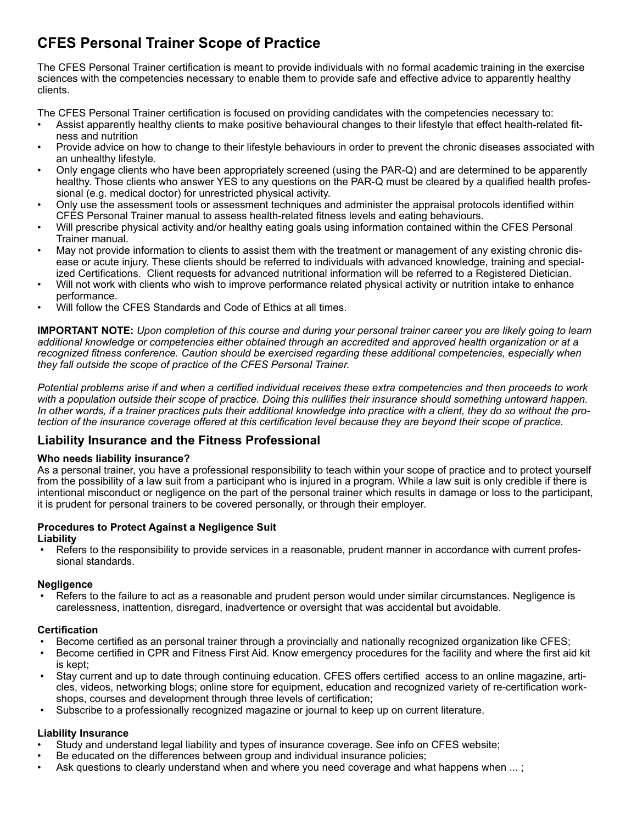## **CFES Personal Trainer Scope of Practice**

The CFES Personal Trainer certification is meant to provide individuals with no formal academic training in the exercise sciences with the competencies necessary to enable them to provide safe and effective advice to apparently healthy clients.

The CFES Personal Trainer certification is focused on providing candidates with the competencies necessary to:

- Assist apparently healthy clients to make positive behavioural changes to their lifestyle that effect health-related fitness and nutrition
- Provide advice on how to change to their lifestyle behaviours in order to prevent the chronic diseases associated with an unhealthy lifestyle.
- Only engage clients who have been appropriately screened (using the PAR-Q) and are determined to be apparently healthy. Those clients who answer YES to any questions on the PAR-Q must be cleared by a qualified health professional (e.g. medical doctor) for unrestricted physical activity.
- Only use the assessment tools or assessment techniques and administer the appraisal protocols identified within CFES Personal Trainer manual to assess health-related fitness levels and eating behaviours.
- Will prescribe physical activity and/or healthy eating goals using information contained within the CFES Personal Trainer manual.
- May not provide information to clients to assist them with the treatment or management of any existing chronic disease or acute injury. These clients should be referred to individuals with advanced knowledge, training and specialized Certifications. Client requests for advanced nutritional information will be referred to a Registered Dietician.
- Will not work with clients who wish to improve performance related physical activity or nutrition intake to enhance performance.
- Will follow the CFES Standards and Code of Ethics at all times.

**IMPORTANT NOTE:** *Upon completion of this course and during your personal trainer career you are likely going to learn additional knowledge or competencies either obtained through an accredited and approved health organization or at a recognized fitness conference. Caution should be exercised regarding these additional competencies, especially when they fall outside the scope of practice of the CFES Personal Trainer.* 

*Potential problems arise if and when a certified individual receives these extra competencies and then proceeds to work with a population outside their scope of practice. Doing this nullifies their insurance should something untoward happen. In other words, if a trainer practices puts their additional knowledge into practice with a client, they do so without the protection of the insurance coverage offered at this certification level because they are beyond their scope of practice.*

#### **Liability Insurance and the Fitness Professional**

#### **Who needs liability insurance?**

As a personal trainer, you have a professional responsibility to teach within your scope of practice and to protect yourself from the possibility of a law suit from a participant who is injured in a program. While a law suit is only credible if there is intentional misconduct or negligence on the part of the personal trainer which results in damage or loss to the participant, it is prudent for personal trainers to be covered personally, or through their employer.

#### **Procedures to Protect Against a Negligence Suit Liability**

 • Refers to the responsibility to provide services in a reasonable, prudent manner in accordance with current professional standards.

#### **Negligence**

 • Refers to the failure to act as a reasonable and prudent person would under similar circumstances. Negligence is carelessness, inattention, disregard, inadvertence or oversight that was accidental but avoidable.

#### **Certification**

- Become certified as an personal trainer through a provincially and nationally recognized organization like CFES;
- Become certified in CPR and Fitness First Aid. Know emergency procedures for the facility and where the first aid kit is kept;
- Stay current and up to date through continuing education. CFES offers certified access to an online magazine, articles, videos, networking blogs; online store for equipment, education and recognized variety of re-certification workshops, courses and development through three levels of certification;
- Subscribe to a professionally recognized magazine or journal to keep up on current literature.

#### **Liability Insurance**

- Study and understand legal liability and types of insurance coverage. See info on CFES website;
- Be educated on the differences between group and individual insurance policies;
- Ask questions to clearly understand when and where you need coverage and what happens when ...;